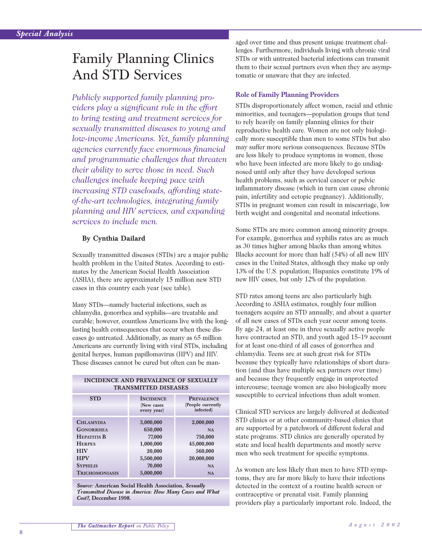# Family Planning Clinics And STD Services

*Publicly supported family planning providers play a significant role in the effort to bring testing and treatment services for sexually transmitted diseases to young and low-income Americans. Yet, family planning agencies currently face enormous financial and programmatic challenges that threaten their ability to serve those in need. Such challenges include keeping pace with increasing STD caseloads, affording stateof-the-art technologies, integrating family planning and HIV services, and expanding services to include men.*

#### **By Cynthia Dailard**

Sexually transmitted diseases (STDs) are a major public health problem in the United States. According to estimates by the American Social Health Association (ASHA), there are approximately 15 million new STD cases in this country each year (see table).

Many STDs—namely bacterial infections, such as chlamydia, gonorrhea and syphilis—are treatable and curable; however, countless Americans live with the longlasting health consequences that occur when these diseases go untreated. Additionally, as many as 65 million Americans are currently living with viral STDs, including genital herpes, human papillomavirus (HPV) and HIV. These diseases cannot be cured but often can be man-

| INCIDENCE AND PREVALENCE OF SEXUALLY |
|--------------------------------------|
| <b>TRANSMITTED DISEASES</b>          |

| <b>STD</b>            | <b>INCIDENCE</b><br>(New cases<br>every year) | <b>PREVALENCE</b><br>(People currently<br>infected) |
|-----------------------|-----------------------------------------------|-----------------------------------------------------|
| <b>CHLAMYDIA</b>      | 3,000,000                                     | 2,000,000                                           |
| <b>GONORRHEA</b>      | 650,000                                       | <b>NA</b>                                           |
| <b>HEPATITIS B</b>    | 77,000                                        | 750,000                                             |
| <b>HERPES</b>         | 1,000,000                                     | 45,000,000                                          |
| <b>HIV</b>            | 20,000                                        | 560,000                                             |
| <b>HPV</b>            | 5,500,000                                     | 20,000,000                                          |
| <b>SYPHILIS</b>       | 70,000                                        | <b>NA</b>                                           |
| <b>TRICHOMONIASIS</b> | 5,000,000                                     | <b>NA</b>                                           |

*Source:* **American Social Health Association,** *Sexually Transmitted Disease in America: How Many Cases and What Cost?,* **December 1998.**

aged over time and thus present unique treatment challenges. Furthermore, individuals living with chronic viral STDs or with untreated bacterial infections can transmit them to their sexual partners even when they are asymptomatic or unaware that they are infected.

#### **Role of Family Planning Providers**

STDs disproportionately affect women, racial and ethnic minorities, and teenagers—population groups that tend to rely heavily on family planning clinics for their reproductive health care. Women are not only biologically more susceptible than men to some STDs but also may suffer more serious consequences. Because STDs are less likely to produce symptoms in women, those who have been infected are more likely to go undiagnosed until only after they have developed serious health problems, such as cervical cancer or pelvic inflammatory disease (which in turn can cause chronic pain, infertility and ectopic pregnancy). Additionally, STDs in pregnant women can result in miscarriage, low birth weight and congenital and neonatal infections.

Some STDs are more common among minority groups. For example, gonorrhea and syphilis rates are as much as 30 times higher among blacks than among whites. Blacks account for more than half (54%) of all new HIV cases in the United States, although they make up only 13% of the U.S. population; Hispanics constitute 19% of new HIV cases, but only 12% of the population.

STD rates among teens are also particularly high. According to ASHA estimates, roughly four million teenagers acquire an STD annually, and about a quarter of all new cases of STDs each year occur among teens. By age 24, at least one in three sexually active people have contracted an STD, and youth aged 15–19 account for at least one-third of all cases of gonorrhea and chlamydia. Teens are at such great risk for STDs because they typically have relationships of short duration (and thus have multiple sex partners over time) and because they frequently engage in unprotected intercourse; teenage women are also biologically more susceptible to cervical infections than adult women.

Clinical STD services are largely delivered at dedicated STD clinics or at other community-based clinics that are supported by a patchwork of different federal and state programs. STD clinics are generally operated by state and local health departments and mostly serve men who seek treatment for specific symptoms.

As women are less likely than men to have STD symptoms, they are far more likely to have their infections detected in the context of a routine health screen or contraceptive or prenatal visit. Family planning providers play a particularly important role. Indeed, the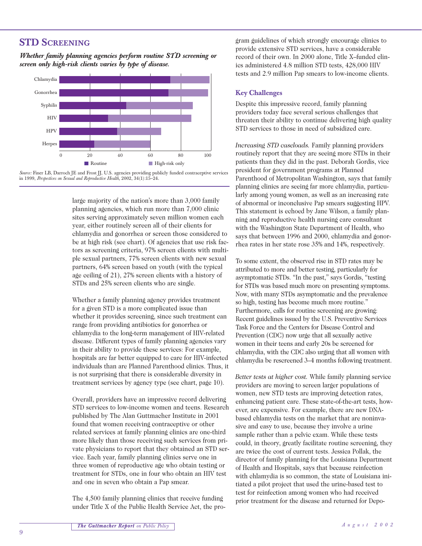## **STD SCREENING**

*Whether family planning agencies perform routine STD screening or screen only high-risk clients varies by type of disease.*





large majority of the nation's more than 3,000 family planning agencies, which run more than 7,000 clinic sites serving approximately seven million women each year, either routinely screen all of their clients for chlamydia and gonorrhea or screen those considered to be at high risk (see chart). Of agencies that use risk factors as screening criteria, 97% screen clients with multiple sexual partners, 77% screen clients with new sexual partners, 64% screen based on youth (with the typical age ceiling of 21), 27% screen clients with a history of STDs and 25% screen clients who are single.

Whether a family planning agency provides treatment for a given STD is a more complicated issue than whether it provides screening, since such treatment can range from providing antibiotics for gonorrhea or chlamydia to the long-term management of HIV-related disease. Different types of family planning agencies vary in their ability to provide these services: For example, hospitals are far better equipped to care for HIV-infected individuals than are Planned Parenthood clinics. Thus, it is not surprising that there is considerable diversity in treatment services by agency type (see chart, page 10).

Overall, providers have an impressive record delivering STD services to low-income women and teens. Research published by The Alan Guttmacher Institute in 2001 found that women receiving contraceptive or other related services at family planning clinics are one-third more likely than those receiving such services from private physicians to report that they obtained an STD service. Each year, family planning clinics serve one in three women of reproductive age who obtain testing or treatment for STDs, one in four who obtain an HIV test and one in seven who obtain a Pap smear.

The 4,500 family planning clinics that receive funding under Title X of the Public Health Service Act, the program guidelines of which strongly encourage clinics to provide extensive STD services, have a considerable record of their own. In 2000 alone, Title X–funded clinics administered 4.8 million STD tests, 428,000 HIV tests and 2.9 million Pap smears to low-income clients.

#### **Key Challenges**

Despite this impressive record, family planning providers today face several serious challenges that threaten their ability to continue delivering high quality STD services to those in need of subsidized care.

*Increasing STD caseloads.* Family planning providers routinely report that they are seeing more STDs in their patients than they did in the past. Deborah Gordis, vice president for government programs at Planned Parenthood of Metropolitan Washington, says that family planning clinics are seeing far more chlamydia, particularly among young women, as well as an increasing rate of abnormal or inconclusive Pap smears suggesting HPV. This statement is echoed by Jane Wilson, a family planning and reproductive health nursing care consultant with the Washington State Department of Health, who says that between 1996 and 2000, chlamydia and gonorrhea rates in her state rose 35% and 14%, respectively.

To some extent, the observed rise in STD rates may be attributed to more and better testing, particularly for asymptomatic STDs. "In the past," says Gordis, "testing for STDs was based much more on presenting symptoms. Now, with many STDs asymptomatic and the prevalence so high, testing has become much more routine." Furthermore, calls for routine screening are growing: Recent guidelines issued by the U.S. Preventive Services Task Force and the Centers for Disease Control and Prevention (CDC) now urge that all sexually active women in their teens and early 20s be screened for chlamydia, with the CDC also urging that all women with chlamydia be rescreened 3–4 months following treatment.

*Better tests at higher cost.* While family planning service providers are moving to screen larger populations of women, new STD tests are improving detection rates, enhancing patient care. These state-of-the-art tests, however, are expensive. For example, there are new DNAbased chlamydia tests on the market that are noninvasive and easy to use, because they involve a urine sample rather than a pelvic exam. While these tests could, in theory, greatly facilitate routine screening, they are twice the cost of current tests. Jessica Pollak, the director of family planning for the Louisiana Department of Health and Hospitals, says that because reinfection with chlamydia is so common, the state of Louisiana initiated a pilot project that used the urine-based test to test for reinfection among women who had received prior treatment for the disease and returned for Depo-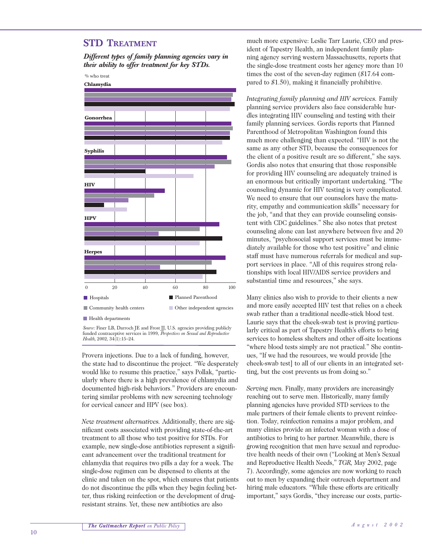## **STD TREATMENT**

*Different types of family planning agencies vary in their ability to offer treatment for key STDs.*

% who treat



*Source:* Finer LB, Darroch JE and Frost JJ, U.S. agencies providing publicly funded contraceptive services in 1999, *Perspectives on Sexual and Reproductive Health,* 2002, 34(1):15–24.

Provera injections. Due to a lack of funding, however, the state had to discontinue the project. "We desperately would like to resume this practice," says Pollak, "particularly where there is a high prevalence of chlamydia and documented high-risk behaviors." Providers are encountering similar problems with new screening technology for cervical cancer and HPV (see box).

*New treatment alternatives.* Additionally, there are significant costs associated with providing state-of-the-art treatment to all those who test positive for STDs. For example, new single-dose antibiotics represent a significant advancement over the traditional treatment for chlamydia that requires two pills a day for a week. The single-dose regimen can be dispensed to clients at the clinic and taken on the spot, which ensures that patients do not discontinue the pills when they begin feeling better, thus risking reinfection or the development of drugresistant strains. Yet, these new antibiotics are also

much more expensive: Leslie Tarr Laurie, CEO and president of Tapestry Health, an independent family planning agency serving western Massachusetts, reports that the single-dose treatment costs her agency more than 10 times the cost of the seven-day regimen (\$17.64 compared to \$1.50), making it financially prohibitive.

*Integrating family planning and HIV services.* Family planning service providers also face considerable hurdles integrating HIV counseling and testing with their family planning services. Gordis reports that Planned Parenthood of Metropolitan Washington found this much more challenging than expected. "HIV is not the same as any other STD, because the consequences for the client of a positive result are so different," she says. Gordis also notes that ensuring that those responsible for providing HIV counseling are adequately trained is an enormous but critically important undertaking. "The counseling dynamic for HIV testing is very complicated. We need to ensure that our counselors have the maturity, empathy and communication skills" necessary for the job, "and that they can provide counseling consistent with CDC guidelines." She also notes that pretest counseling alone can last anywhere between five and 20 minutes, "psychosocial support services must be immediately available for those who test positive" and clinic staff must have numerous referrals for medical and support services in place. "All of this requires strong relationships with local HIV/AIDS service providers and substantial time and resources," she says.

Many clinics also wish to provide to their clients a new and more easily accepted HIV test that relies on a cheek swab rather than a traditional needle-stick blood test. Laurie says that the cheek-swab test is proving particularly critical as part of Tapestry Health's efforts to bring services to homeless shelters and other off-site locations "where blood tests simply are not practical." She continues, "If we had the resources, we would provide [the cheek-swab test] to all of our clients in an integrated setting, but the cost prevents us from doing so."

*Serving men.* Finally, many providers are increasingly reaching out to serve men. Historically, many family planning agencies have provided STD services to the male partners of their female clients to prevent reinfection. Today, reinfection remains a major problem, and many clinics provide an infected woman with a dose of antibiotics to bring to her partner. Meanwhile, there is growing recognition that men have sexual and reproductive health needs of their own ("Looking at Men's Sexual and Reproductive Health Needs," *TGR,* May 2002, page 7). Accordingly, some agencies are now working to reach out to men by expanding their outreach department and hiring male educators. "While these efforts are critically important," says Gordis, "they increase our costs, partic-